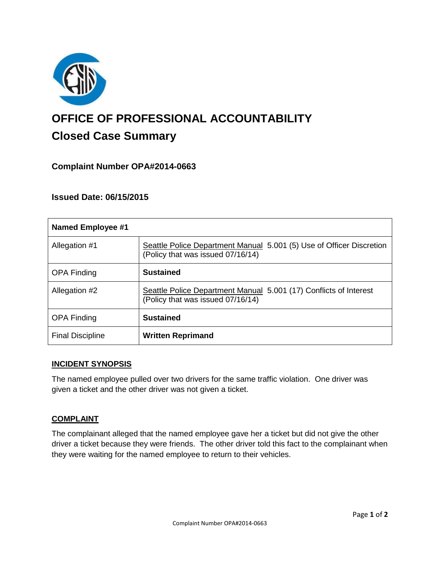

# **OFFICE OF PROFESSIONAL ACCOUNTABILITY Closed Case Summary**

# **Complaint Number OPA#2014-0663**

## **Issued Date: 06/15/2015**

| <b>Named Employee #1</b> |                                                                                                           |
|--------------------------|-----------------------------------------------------------------------------------------------------------|
| Allegation #1            | Seattle Police Department Manual 5.001 (5) Use of Officer Discretion<br>(Policy that was issued 07/16/14) |
| <b>OPA Finding</b>       | <b>Sustained</b>                                                                                          |
| Allegation #2            | Seattle Police Department Manual 5.001 (17) Conflicts of Interest<br>(Policy that was issued 07/16/14)    |
| <b>OPA Finding</b>       | <b>Sustained</b>                                                                                          |
| <b>Final Discipline</b>  | <b>Written Reprimand</b>                                                                                  |

#### **INCIDENT SYNOPSIS**

The named employee pulled over two drivers for the same traffic violation. One driver was given a ticket and the other driver was not given a ticket.

#### **COMPLAINT**

The complainant alleged that the named employee gave her a ticket but did not give the other driver a ticket because they were friends. The other driver told this fact to the complainant when they were waiting for the named employee to return to their vehicles.